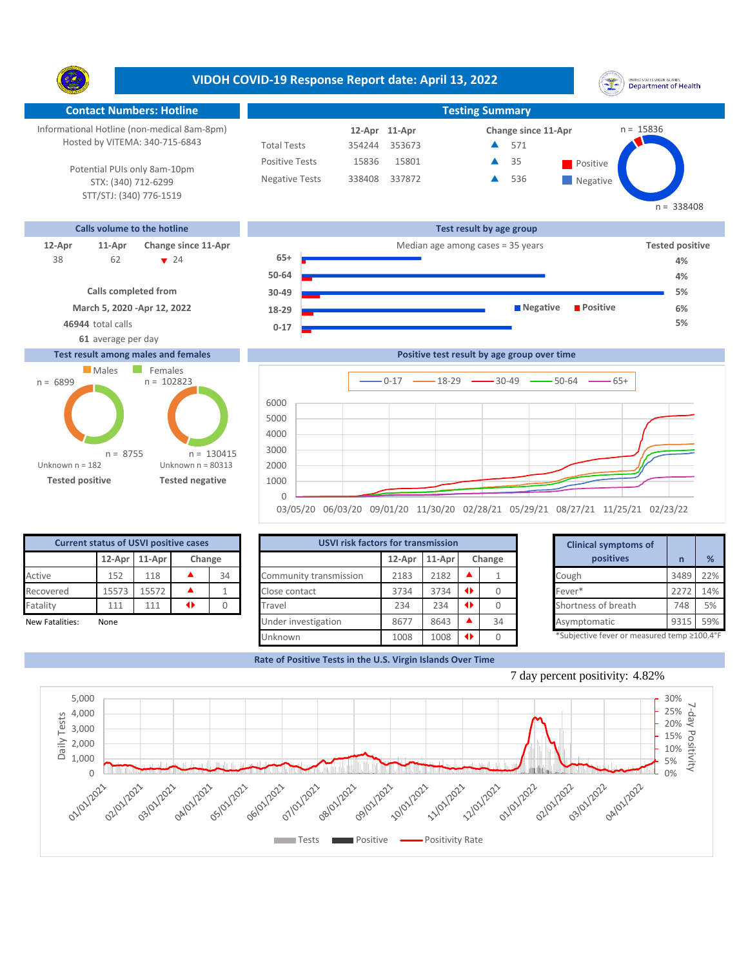**VIDOH COVID-19 Response Report date: April 13, 2022** UNITED STATES VIRGIN SLANDS<br>Department of Health Y. **Contact Numbers: Hotline Testing Summary** Informational Hotline (non-medical 8am-8pm) n = 15836 **12-Apr Change since 11-Apr 11-Apr** Hosted by VITEMA: 340-715-6843 Total Tests 354244 353673 571 ▲ Positive Tests 15836 15801 **A** 35 **Positive** Â 35 Potential PUIs only 8am-10pm Negative Tests 338408 337872 536 ▲ **Negative** STX: (340) 712-6299 STT/STJ: (340) 776-1519  $n = 338408$ **Calls volume to the hotline Test result by age group 12-Apr 11-Apr Change since 11-Apr** Median age among cases = 35 years **Tested positive 65+** 62 24 38 **4% 50-64 4% Calls completed from 5% 30-49 March 5, 2020 -Apr 12, 2022 Negative Positive 6% 18-29 46944** total calls **5% 0-17 61** average per day **Test result among males and females Positive test result by age group over time**





| <b>Current status of USVI positive cases</b> |                            |       |  |    |  |  |  |  |  |  |
|----------------------------------------------|----------------------------|-------|--|----|--|--|--|--|--|--|
|                                              | 12-Apr<br>11-Apr<br>Change |       |  |    |  |  |  |  |  |  |
| Active                                       | 152                        | 118   |  | 34 |  |  |  |  |  |  |
| Recovered                                    | 15573                      | 15572 |  |    |  |  |  |  |  |  |
| Fatality                                     | 111                        | 111   |  |    |  |  |  |  |  |  |
| New Fatalities:<br>None                      |                            |       |  |    |  |  |  |  |  |  |

|                 | <b>Current status of USVI positive cases</b> |                                  |    |        |                        | <b>USVI risk factors for transmission</b> |          |  |        |  | <b>Clinical symptoms of</b>                |      |     |
|-----------------|----------------------------------------------|----------------------------------|----|--------|------------------------|-------------------------------------------|----------|--|--------|--|--------------------------------------------|------|-----|
|                 |                                              | $12$ -Apr $\vert$ 11-Apr $\vert$ |    | Change |                        | 12-Apr                                    | $11-Apr$ |  | Change |  | positives                                  |      | %   |
| Active          | 152                                          | 118                              |    | 34     | Community transmission | 2183                                      | 2182     |  |        |  | Cough                                      | 3489 | 22% |
| Recovered       | 15573                                        | 15572                            |    |        | Close contact          | 3734                                      | 3734     |  |        |  | Fever*                                     | 227  | 14% |
| Fatality        | 111                                          | 111                              | 41 |        | Travel                 | 234                                       | 234      |  |        |  | Shortness of breath                        | 748  | 5%  |
| New Fatalities: | None                                         |                                  |    |        | Under investigation    | 8677                                      | 8643     |  | 34     |  | Asymptomatic                               | 9315 | 59% |
|                 |                                              |                                  |    |        | Unknown                | 1008                                      | 1008     |  |        |  | *Subjective fever or measured temp ≥100.4° |      |     |

|        | for transmission |   |        | <b>Clinical symptoms of</b>                 |      |     |  |  |
|--------|------------------|---|--------|---------------------------------------------|------|-----|--|--|
| 12-Apr | 11-Apr           |   | Change | positives                                   | n    | %   |  |  |
| 2183   | 2182             |   |        | Cough                                       | 3489 | 22% |  |  |
| 3734   | 3734             | ◆ | 0      | Fever*                                      | 2272 | 14% |  |  |
| 234    | 234              | ◆ | 0      | Shortness of breath                         | 748  | 5%  |  |  |
| 8677   | 8643             |   | 34     | Asymptomatic                                | 9315 | 59% |  |  |
| 1008   | 1008             | ◆ | 0      | *Subjective fever or measured temp ≥100.4°F |      |     |  |  |

**Rate of Positive Tests in the U.S. Virgin Islands Over Time**